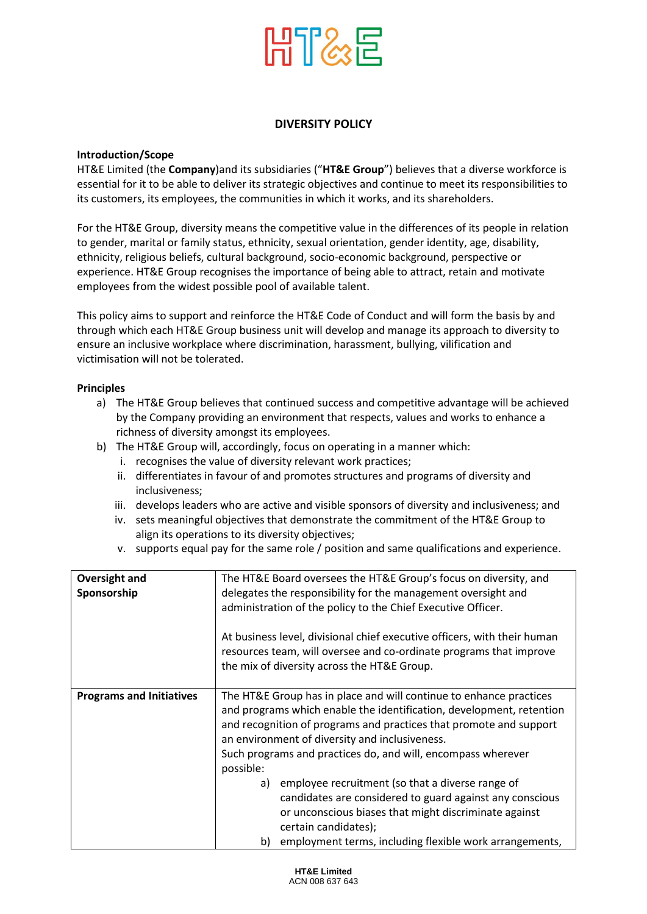

## **DIVERSITY POLICY**

## **Introduction/Scope**

HT&E Limited (the **Company**)and its subsidiaries ("**HT&E Group**") believes that a diverse workforce is essential for it to be able to deliver its strategic objectives and continue to meet its responsibilities to its customers, its employees, the communities in which it works, and its shareholders.

For the HT&E Group, diversity means the competitive value in the differences of its people in relation to gender, marital or family status, ethnicity, sexual orientation, gender identity, age, disability, ethnicity, religious beliefs, cultural background, socio-economic background, perspective or experience. HT&E Group recognises the importance of being able to attract, retain and motivate employees from the widest possible pool of available talent.

This policy aims to support and reinforce the HT&E Code of Conduct and will form the basis by and through which each HT&E Group business unit will develop and manage its approach to diversity to ensure an inclusive workplace where discrimination, harassment, bullying, vilification and victimisation will not be tolerated.

## **Principles**

- a) The HT&E Group believes that continued success and competitive advantage will be achieved by the Company providing an environment that respects, values and works to enhance a richness of diversity amongst its employees.
- b) The HT&E Group will, accordingly, focus on operating in a manner which:
	- i. recognises the value of diversity relevant work practices;
	- ii. differentiates in favour of and promotes structures and programs of diversity and inclusiveness;
	- iii. develops leaders who are active and visible sponsors of diversity and inclusiveness; and
	- iv. sets meaningful objectives that demonstrate the commitment of the HT&E Group to align its operations to its diversity objectives;
	- v. supports equal pay for the same role / position and same qualifications and experience.

| <b>Oversight and</b><br>Sponsorship | The HT&E Board oversees the HT&E Group's focus on diversity, and<br>delegates the responsibility for the management oversight and<br>administration of the policy to the Chief Executive Officer.<br>At business level, divisional chief executive officers, with their human<br>resources team, will oversee and co-ordinate programs that improve<br>the mix of diversity across the HT&E Group.                                                                                                                                                                                                                   |
|-------------------------------------|----------------------------------------------------------------------------------------------------------------------------------------------------------------------------------------------------------------------------------------------------------------------------------------------------------------------------------------------------------------------------------------------------------------------------------------------------------------------------------------------------------------------------------------------------------------------------------------------------------------------|
| <b>Programs and Initiatives</b>     | The HT&E Group has in place and will continue to enhance practices<br>and programs which enable the identification, development, retention<br>and recognition of programs and practices that promote and support<br>an environment of diversity and inclusiveness.<br>Such programs and practices do, and will, encompass wherever<br>possible:<br>a) employee recruitment (so that a diverse range of<br>candidates are considered to guard against any conscious<br>or unconscious biases that might discriminate against<br>certain candidates);<br>employment terms, including flexible work arrangements,<br>b) |